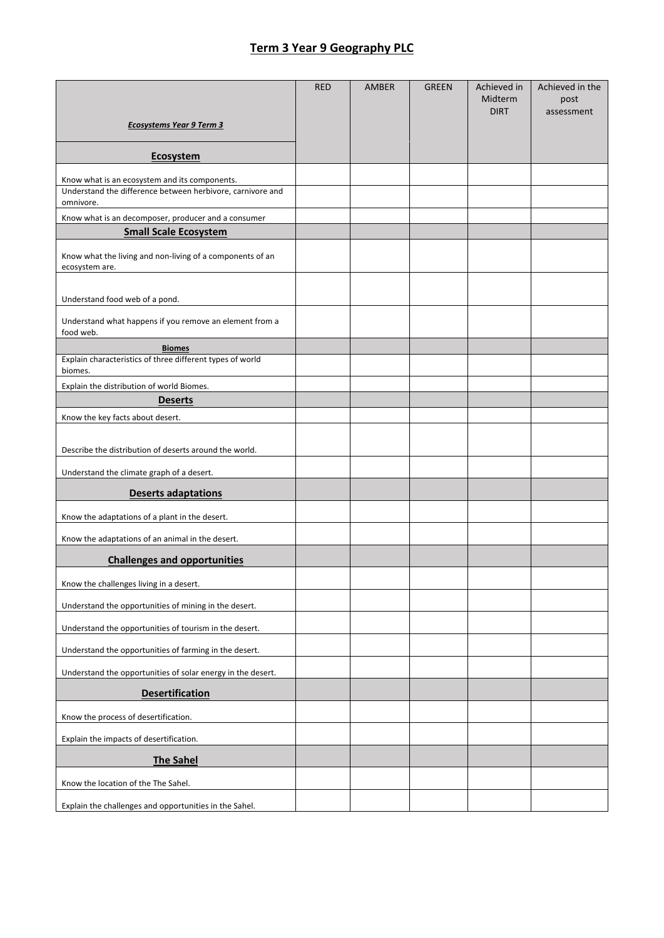## **Term 3 Year 9 Geography PLC**

|                                                                             | <b>RED</b> | <b>AMBER</b> | <b>GREEN</b> | Achieved in<br>Midterm | Achieved in the<br>post |
|-----------------------------------------------------------------------------|------------|--------------|--------------|------------------------|-------------------------|
|                                                                             |            |              |              | <b>DIRT</b>            | assessment              |
| <b>Ecosystems Year 9 Term 3</b>                                             |            |              |              |                        |                         |
| <b>Ecosystem</b>                                                            |            |              |              |                        |                         |
| Know what is an ecosystem and its components.                               |            |              |              |                        |                         |
| Understand the difference between herbivore, carnivore and<br>omnivore.     |            |              |              |                        |                         |
| Know what is an decomposer, producer and a consumer                         |            |              |              |                        |                         |
| <b>Small Scale Ecosystem</b>                                                |            |              |              |                        |                         |
| Know what the living and non-living of a components of an<br>ecosystem are. |            |              |              |                        |                         |
| Understand food web of a pond.                                              |            |              |              |                        |                         |
| Understand what happens if you remove an element from a<br>food web.        |            |              |              |                        |                         |
| <b>Biomes</b>                                                               |            |              |              |                        |                         |
| Explain characteristics of three different types of world<br>biomes.        |            |              |              |                        |                         |
| Explain the distribution of world Biomes.                                   |            |              |              |                        |                         |
| <b>Deserts</b>                                                              |            |              |              |                        |                         |
| Know the key facts about desert.                                            |            |              |              |                        |                         |
| Describe the distribution of deserts around the world.                      |            |              |              |                        |                         |
| Understand the climate graph of a desert.                                   |            |              |              |                        |                         |
| <b>Deserts adaptations</b>                                                  |            |              |              |                        |                         |
| Know the adaptations of a plant in the desert.                              |            |              |              |                        |                         |
| Know the adaptations of an animal in the desert.                            |            |              |              |                        |                         |
| <b>Challenges and opportunities</b>                                         |            |              |              |                        |                         |
| Know the challenges living in a desert.                                     |            |              |              |                        |                         |
| Understand the opportunities of mining in the desert.                       |            |              |              |                        |                         |
| Understand the opportunities of tourism in the desert.                      |            |              |              |                        |                         |
| Understand the opportunities of farming in the desert.                      |            |              |              |                        |                         |
| Understand the opportunities of solar energy in the desert.                 |            |              |              |                        |                         |
| <b>Desertification</b>                                                      |            |              |              |                        |                         |
| Know the process of desertification.                                        |            |              |              |                        |                         |
| Explain the impacts of desertification.                                     |            |              |              |                        |                         |
| <b>The Sahel</b>                                                            |            |              |              |                        |                         |
| Know the location of the The Sahel.                                         |            |              |              |                        |                         |
| Explain the challenges and opportunities in the Sahel.                      |            |              |              |                        |                         |